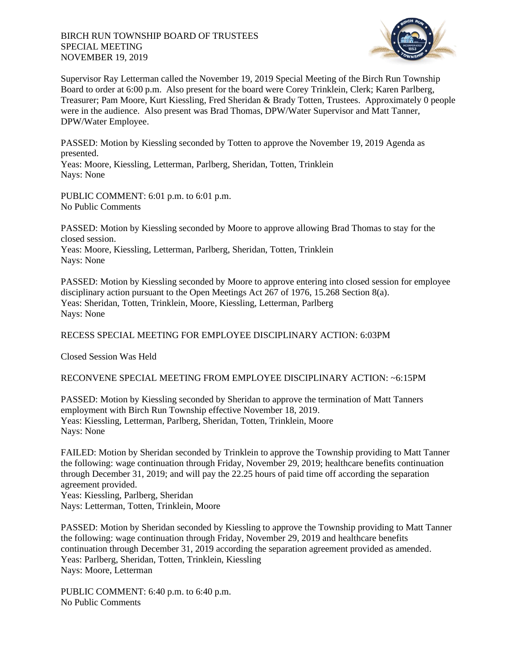## BIRCH RUN TOWNSHIP BOARD OF TRUSTEES SPECIAL MEETING NOVEMBER 19, 2019



Supervisor Ray Letterman called the November 19, 2019 Special Meeting of the Birch Run Township Board to order at 6:00 p.m. Also present for the board were Corey Trinklein, Clerk; Karen Parlberg, Treasurer; Pam Moore, Kurt Kiessling, Fred Sheridan & Brady Totten, Trustees. Approximately 0 people were in the audience. Also present was Brad Thomas, DPW/Water Supervisor and Matt Tanner, DPW/Water Employee.

PASSED: Motion by Kiessling seconded by Totten to approve the November 19, 2019 Agenda as presented.

Yeas: Moore, Kiessling, Letterman, Parlberg, Sheridan, Totten, Trinklein Nays: None

PUBLIC COMMENT: 6:01 p.m. to 6:01 p.m. No Public Comments

PASSED: Motion by Kiessling seconded by Moore to approve allowing Brad Thomas to stay for the closed session. Yeas: Moore, Kiessling, Letterman, Parlberg, Sheridan, Totten, Trinklein Nays: None

PASSED: Motion by Kiessling seconded by Moore to approve entering into closed session for employee disciplinary action pursuant to the Open Meetings Act 267 of 1976, 15.268 Section 8(a). Yeas: Sheridan, Totten, Trinklein, Moore, Kiessling, Letterman, Parlberg Nays: None

## RECESS SPECIAL MEETING FOR EMPLOYEE DISCIPLINARY ACTION: 6:03PM

Closed Session Was Held

## RECONVENE SPECIAL MEETING FROM EMPLOYEE DISCIPLINARY ACTION: ~6:15PM

PASSED: Motion by Kiessling seconded by Sheridan to approve the termination of Matt Tanners employment with Birch Run Township effective November 18, 2019. Yeas: Kiessling, Letterman, Parlberg, Sheridan, Totten, Trinklein, Moore Nays: None

FAILED: Motion by Sheridan seconded by Trinklein to approve the Township providing to Matt Tanner the following: wage continuation through Friday, November 29, 2019; healthcare benefits continuation through December 31, 2019; and will pay the 22.25 hours of paid time off according the separation agreement provided.

Yeas: Kiessling, Parlberg, Sheridan Nays: Letterman, Totten, Trinklein, Moore

PASSED: Motion by Sheridan seconded by Kiessling to approve the Township providing to Matt Tanner the following: wage continuation through Friday, November 29, 2019 and healthcare benefits continuation through December 31, 2019 according the separation agreement provided as amended. Yeas: Parlberg, Sheridan, Totten, Trinklein, Kiessling Nays: Moore, Letterman

PUBLIC COMMENT: 6:40 p.m. to 6:40 p.m. No Public Comments